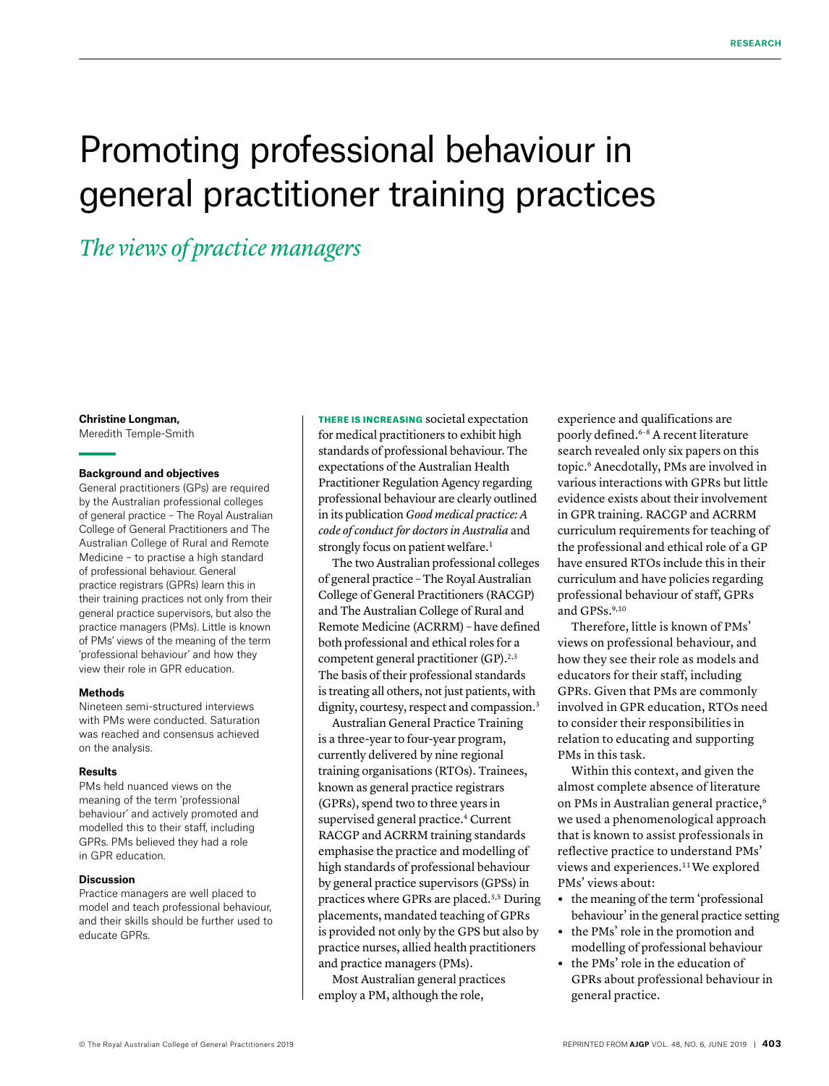# Promoting professional behaviour in general practitioner training practices

# *The views of practice managers*

#### **Christine Longman,**

Meredith Temple-Smith

#### **Background and objectives**

General practitioners (GPs) are required by the Australian professional colleges of general practice – The Royal Australian College of General Practitioners and The Australian College of Rural and Remote Medicine – to practise a high standard of professional behaviour. General practice registrars (GPRs) learn this in their training practices not only from their general practice supervisors, but also the practice managers (PMs). Little is known of PMs' views of the meaning of the term 'professional behaviour' and how they view their role in GPR education.

#### **Methods**

Nineteen semi-structured interviews with PMs were conducted. Saturation was reached and consensus achieved on the analysis.

#### **Results**

PMs held nuanced views on the meaning of the term 'professional behaviour' and actively promoted and modelled this to their staff, including GPRs. PMs believed they had a role in GPR education.

#### **Discussion**

Practice managers are well placed to model and teach professional behaviour, and their skills should be further used to educate GPRs.

THERE IS INCREASING societal expectation for medical practitioners to exhibit high standards of professional behaviour. The expectations of the Australian Health Practitioner Regulation Agency regarding professional behaviour are clearly outlined in its publication *Good medical practice: A code of conduct for doctors in Australia* and strongly focus on patient welfare.<sup>1</sup>

The two Australian professional colleges of general practice – The Royal Australian College of General Practitioners (RACGP) and The Australian College of Rural and Remote Medicine (ACRRM) – have defined both professional and ethical roles for a competent general practitioner (GP).<sup>2,3</sup> The basis of their professional standards is treating all others, not just patients, with dignity, courtesy, respect and compassion.<sup>3</sup>

Australian General Practice Training is a three-year to four-year program, currently delivered by nine regional training organisations (RTOs). Trainees, known as general practice registrars (GPRs), spend two to three years in supervised general practice.4 Current RACGP and ACRRM training standards emphasise the practice and modelling of high standards of professional behaviour by general practice supervisors (GPSs) in practices where GPRs are placed.3,5 During placements, mandated teaching of GPRs is provided not only by the GPS but also by practice nurses, allied health practitioners and practice managers (PMs).

Most Australian general practices employ a PM, although the role,

experience and qualifications are poorly defined.<sup>6-8</sup> A recent literature search revealed only six papers on this topic.6 Anecdotally, PMs are involved in various interactions with GPRs but little evidence exists about their involvement in GPR training. RACGP and ACRRM curriculum requirements for teaching of the professional and ethical role of a GP have ensured RTOs include this in their curriculum and have policies regarding professional behaviour of staff, GPRs and GPSs.<sup>9,10</sup>

Therefore, little is known of PMs' views on professional behaviour, and how they see their role as models and educators for their staff, including GPRs. Given that PMs are commonly involved in GPR education, RTOs need to consider their responsibilities in relation to educating and supporting PMs in this task.

Within this context, and given the almost complete absence of literature on PMs in Australian general practice,<sup>6</sup> we used a phenomenological approach that is known to assist professionals in reflective practice to understand PMs' views and experiences.<sup>11</sup> We explored PMs' views about:

- **•** the meaning of the term 'professional behaviour' in the general practice setting
- **•** the PMs' role in the promotion and modelling of professional behaviour
- **•** the PMs' role in the education of GPRs about professional behaviour in general practice.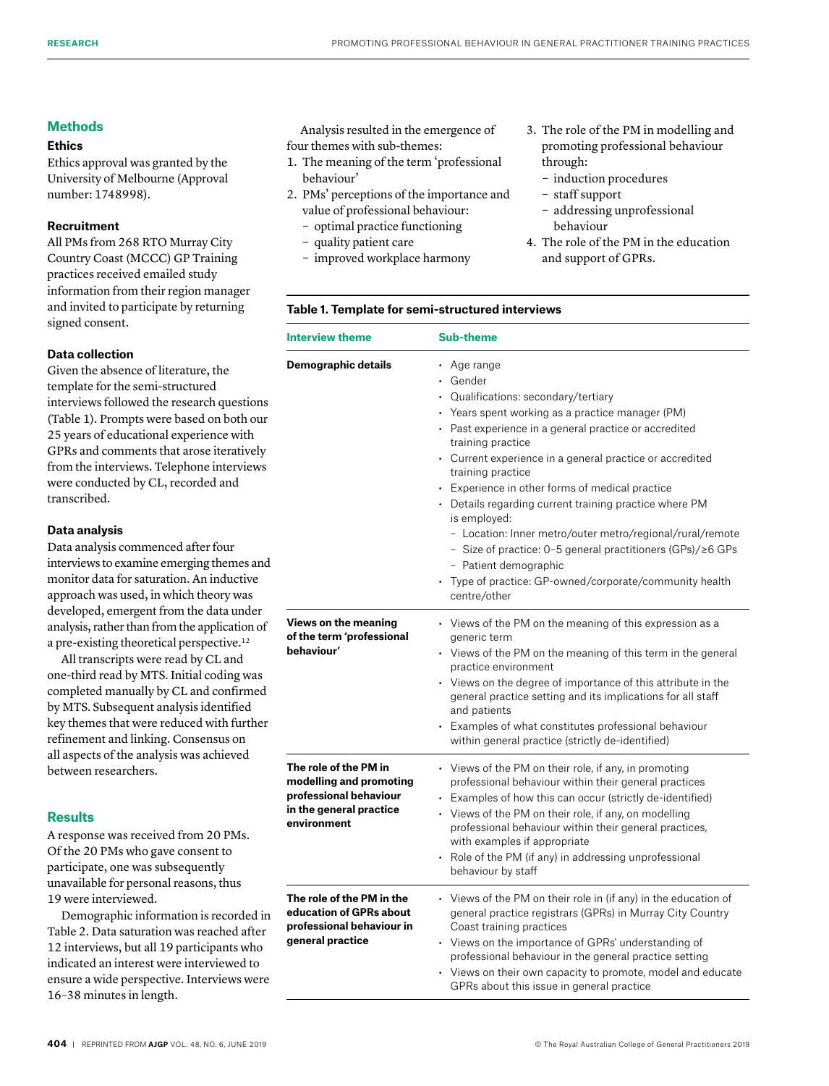#### **Methods**

### **Ethics**

Ethics approval was granted by the University of Melbourne (Approval number: 1748998).

#### **Recruitment**

All PMs from 268 RTO Murray City Country Coast (MCCC) GP Training practices received emailed study information from their region manager and invited to participate by returning signed consent.

#### **Data collection**

Given the absence of literature, the template for the semi-structured interviews followed the research questions (Table 1). Prompts were based on both our 25 years of educational experience with GPRs and comments that arose iteratively from the interviews. Telephone interviews were conducted by CL, recorded and transcribed.

# **Data analysis**

Data analysis commenced after four interviews to examine emerging themes and monitor data for saturation. An inductive approach was used, in which theory was developed, emergent from the data under analysis, rather than from the application of a pre-existing theoretical perspective.12

All transcripts were read by CL and one-third read by MTS. Initial coding was completed manually by CL and confirmed by MTS. Subsequent analysis identified key themes that were reduced with further refinement and linking. Consensus on all aspects of the analysis was achieved between researchers.

# **Results**

A response was received from 20 PMs. Of the 20 PMs who gave consent to participate, one was subsequently unavailable for personal reasons, thus 19 were interviewed.

Demographic information is recorded in Table 2. Data saturation was reached after 12 interviews, but all 19 participants who indicated an interest were interviewed to ensure a wide perspective. Interviews were 16–38 minutes in length.

Analysis resulted in the emergence of four themes with sub-themes:

- 1. The meaning of the term 'professional behaviour'
- 2. PMs' perceptions of the importance and value of professional behaviour:
	- optimal practice functioning
	- quality patient care
	- improved workplace harmony
- 3. The role of the PM in modelling and promoting professional behaviour through:
	- induction procedures
	- staff support
	- addressing unprofessional behaviour
- 4. The role of the PM in the education and support of GPRs.

#### **Table 1. Template for semi-structured interviews**

| <b>Interview theme</b>                                                                                               | <b>Sub-theme</b>                                                                                                                                                                                                                                                                                                                                                                                                                                                                                                                                                                                                                                              |  |  |  |  |  |
|----------------------------------------------------------------------------------------------------------------------|---------------------------------------------------------------------------------------------------------------------------------------------------------------------------------------------------------------------------------------------------------------------------------------------------------------------------------------------------------------------------------------------------------------------------------------------------------------------------------------------------------------------------------------------------------------------------------------------------------------------------------------------------------------|--|--|--|--|--|
| Demographic details                                                                                                  | $\cdot$ Age range<br>• Gender<br>• Qualifications: secondary/tertiary<br>• Years spent working as a practice manager (PM)<br>• Past experience in a general practice or accredited<br>training practice<br>• Current experience in a general practice or accredited<br>training practice<br>• Experience in other forms of medical practice<br>• Details regarding current training practice where $PM$<br>is employed:<br>- Location: Inner metro/outer metro/regional/rural/remote<br>- Size of practice: 0-5 general practitioners (GPs)/ $\geq$ 6 GPs<br>- Patient demographic<br>• Type of practice: GP-owned/corporate/community health<br>centre/other |  |  |  |  |  |
| Views on the meaning<br>of the term 'professional<br>behaviour'                                                      | • Views of the PM on the meaning of this expression as a<br>generic term<br>• Views of the PM on the meaning of this term in the general<br>practice environment<br>• Views on the degree of importance of this attribute in the<br>general practice setting and its implications for all staff<br>and patients<br>• Examples of what constitutes professional behaviour<br>within general practice (strictly de-identified)                                                                                                                                                                                                                                  |  |  |  |  |  |
| The role of the PM in<br>modelling and promoting<br>professional behaviour<br>in the general practice<br>environment | • Views of the PM on their role, if any, in promoting<br>professional behaviour within their general practices<br>• Examples of how this can occur (strictly de-identified)<br>• Views of the PM on their role, if any, on modelling<br>professional behaviour within their general practices,<br>with examples if appropriate<br>• Role of the PM (if any) in addressing unprofessional<br>behaviour by staff                                                                                                                                                                                                                                                |  |  |  |  |  |
| The role of the PM in the<br>education of GPRs about<br>professional behaviour in<br>general practice                | • Views of the PM on their role in (if any) in the education of<br>general practice registrars (GPRs) in Murray City Country<br>Coast training practices<br>• Views on the importance of GPRs' understanding of<br>professional behaviour in the general practice setting<br>• Views on their own capacity to promote, model and educate<br>GPRs about this issue in general practice                                                                                                                                                                                                                                                                         |  |  |  |  |  |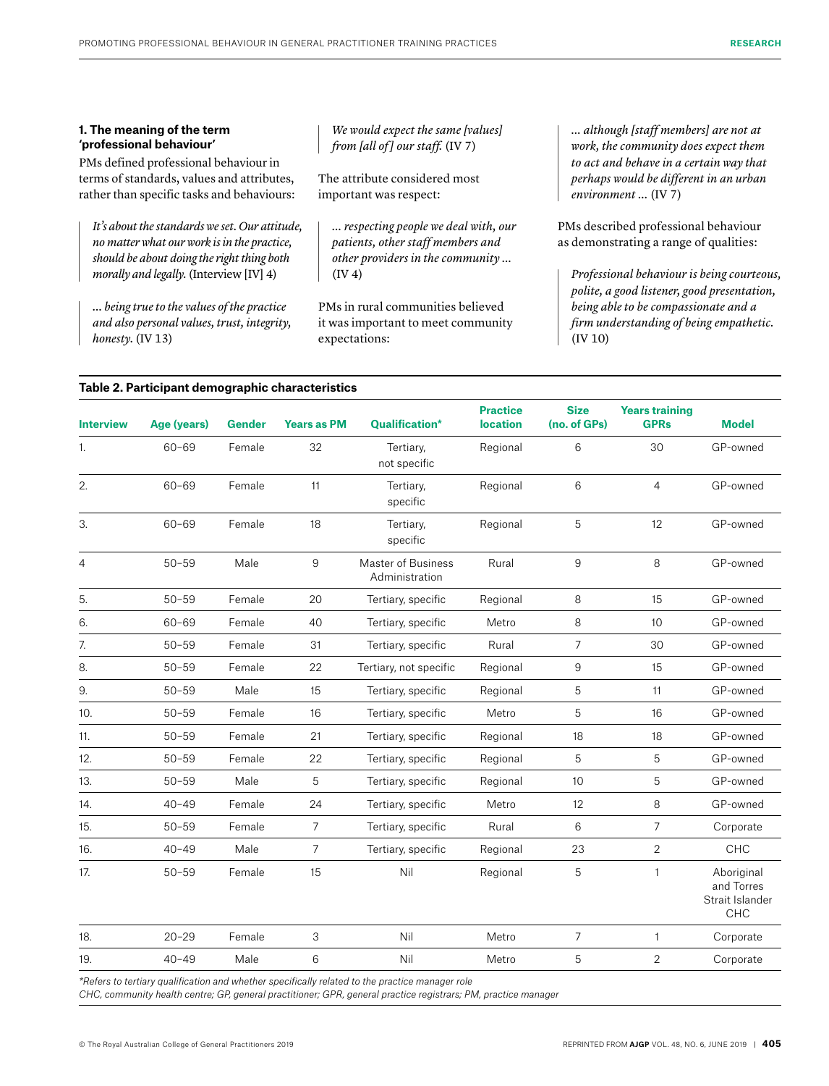#### **1. The meaning of the term 'professional behaviour'**

PMs defined professional behaviour in terms of standards, values and attributes, rather than specific tasks and behaviours:

*It's about the standards we set. Our attitude, no matter what our work is in the practice, should be about doing the right thing both morally and legally.* (Interview [IV] 4)

*… being true to the values of the practice and also personal values, trust, integrity, honesty.* (IV 13)

*We would expect the same [values] from [all of ] our staff.* (IV 7)

The attribute considered most important was respect:

*… respecting people we deal with, our patients, other staff members and other providers in the community …* (IV 4)

PMs in rural communities believed it was important to meet community expectations:

*… although [staff members] are not at work, the community does expect them to act and behave in a certain way that perhaps would be different in an urban environment …* (IV 7)

PMs described professional behaviour as demonstrating a range of qualities:

*Professional behaviour is being courteous, polite, a good listener, good presentation, being able to be compassionate and a firm understanding of being empathetic.* (IV 10)

#### **Table 2. Participant demographic characteristics**

| <b>Interview</b> | Age (years) | <b>Gender</b> | <b>Years as PM</b> | <b>Qualification*</b>                                                                           | <b>Practice</b><br><b>location</b> | <b>Size</b><br>(no. of GPs) | <b>Years training</b><br><b>GPRs</b> | <b>Model</b>                                       |
|------------------|-------------|---------------|--------------------|-------------------------------------------------------------------------------------------------|------------------------------------|-----------------------------|--------------------------------------|----------------------------------------------------|
| 1.               | $60 - 69$   | Female        | 32                 | Tertiary,<br>not specific                                                                       | Regional                           | 6                           | 30                                   | GP-owned                                           |
| 2.               | $60 - 69$   | Female        | 11                 | Tertiary,<br>specific                                                                           | Regional                           | 6                           | $\overline{4}$                       | GP-owned                                           |
| 3.               | $60 - 69$   | Female        | 18                 | Tertiary,<br>specific                                                                           | Regional                           | 5                           | 12                                   | GP-owned                                           |
| 4                | $50 - 59$   | Male          | 9                  | Master of Business<br>Administration                                                            | Rural                              | 9                           | 8                                    | GP-owned                                           |
| 5.               | $50 - 59$   | Female        | 20                 | Tertiary, specific                                                                              | Regional                           | 8                           | 15                                   | GP-owned                                           |
| 6.               | $60 - 69$   | Female        | 40                 | Tertiary, specific                                                                              | Metro                              | 8                           | 10                                   | GP-owned                                           |
| 7.               | $50 - 59$   | Female        | 31                 | Tertiary, specific                                                                              | Rural                              | $\overline{7}$              | 30                                   | GP-owned                                           |
| 8.               | $50 - 59$   | Female        | 22                 | Tertiary, not specific                                                                          | Regional                           | 9                           | 15                                   | GP-owned                                           |
| 9.               | $50 - 59$   | Male          | 15                 | Tertiary, specific                                                                              | Regional                           | 5                           | 11                                   | GP-owned                                           |
| 10.              | $50 - 59$   | Female        | 16                 | Tertiary, specific                                                                              | Metro                              | 5                           | 16                                   | GP-owned                                           |
| 11.              | $50 - 59$   | Female        | 21                 | Tertiary, specific                                                                              | Regional                           | 18                          | 18                                   | GP-owned                                           |
| 12.              | $50 - 59$   | Female        | 22                 | Tertiary, specific                                                                              | Regional                           | 5                           | 5                                    | GP-owned                                           |
| 13.              | $50 - 59$   | Male          | 5                  | Tertiary, specific                                                                              | Regional                           | 10                          | 5                                    | GP-owned                                           |
| 14.              | $40 - 49$   | Female        | 24                 | Tertiary, specific                                                                              | Metro                              | 12                          | 8                                    | GP-owned                                           |
| 15.              | $50 - 59$   | Female        | 7                  | Tertiary, specific                                                                              | Rural                              | 6                           | $\overline{7}$                       | Corporate                                          |
| 16.              | $40 - 49$   | Male          | 7                  | Tertiary, specific                                                                              | Regional                           | 23                          | $\overline{2}$                       | CHC                                                |
| 17.              | $50 - 59$   | Female        | 15                 | Nil                                                                                             | Regional                           | 5                           | $\mathbf{1}$                         | Aboriginal<br>and Torres<br>Strait Islander<br>CHC |
| 18.              | $20 - 29$   | Female        | 3                  | Nil                                                                                             | Metro                              | $\overline{7}$              | 1                                    | Corporate                                          |
| 19.              | $40 - 49$   | Male          | 6                  | Nil                                                                                             | Metro                              | 5                           | 2                                    | Corporate                                          |
|                  |             |               |                    | *Refers to tertiary qualification and whether specifically related to the practice manager role |                                    |                             |                                      |                                                    |

*CHC, community health centre; GP, general practitioner; GPR, general practice registrars; PM, practice manager*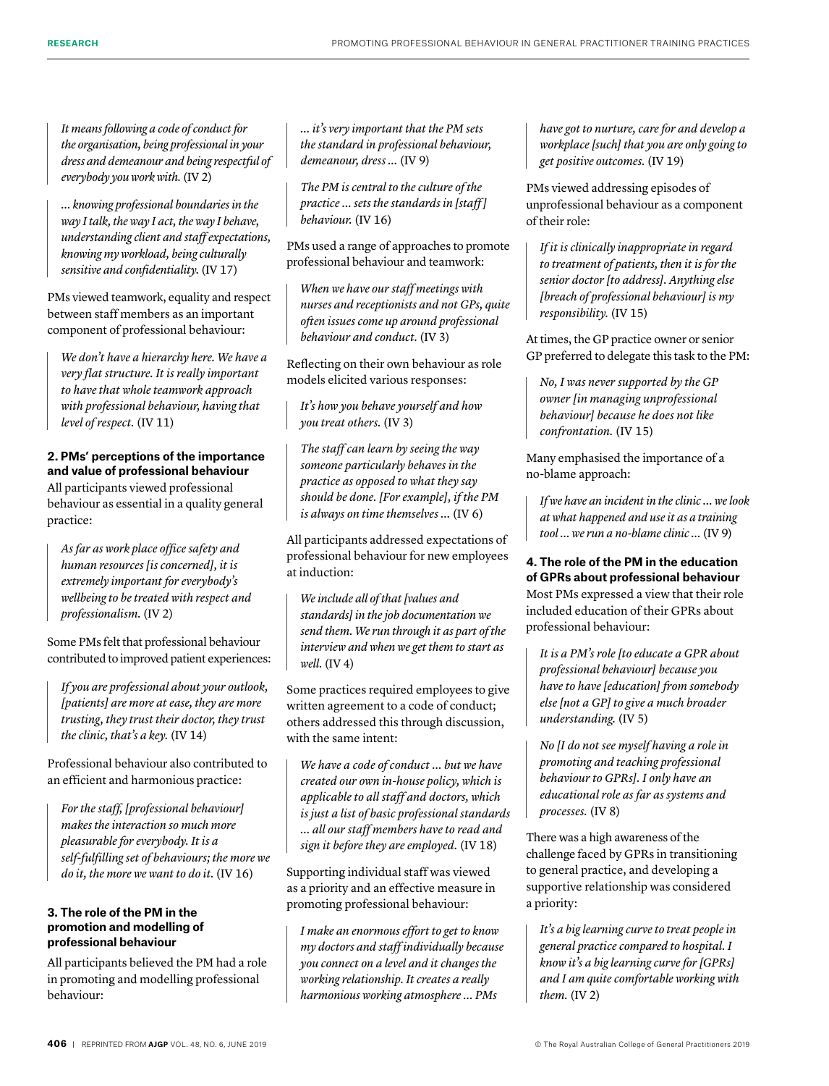*It means following a code of conduct for the organisation, being professional in your dress and demeanour and being respectful of everybody you work with.* (IV 2)

*… knowing professional boundaries in the way I talk, the way I act, the way I behave, understanding client and staff expectations, knowing my workload, being culturally sensitive and confidentiality.* (IV 17)

PMs viewed teamwork, equality and respect between staff members as an important component of professional behaviour:

*We don't have a hierarchy here. We have a very flat structure. It is really important to have that whole teamwork approach with professional behaviour, having that level of respect.* (IV 11)

# **2. PMs' perceptions of the importance and value of professional behaviour** All participants viewed professional behaviour as essential in a quality general practice:

*As far as work place office safety and human resources [is concerned], it is extremely important for everybody's wellbeing to be treated with respect and professionalism.* (IV 2)

Some PMs felt that professional behaviour contributed to improved patient experiences:

*If you are professional about your outlook, [patients] are more at ease, they are more trusting, they trust their doctor, they trust the clinic, that's a key.* (IV 14)

Professional behaviour also contributed to an efficient and harmonious practice:

*For the staff, [professional behaviour] makes the interaction so much more pleasurable for everybody. It is a self-fulfilling set of behaviours; the more we do it, the more we want to do it.* (IV 16)

# **3. The role of the PM in the promotion and modelling of professional behaviour**

All participants believed the PM had a role in promoting and modelling professional behaviour:

*… it's very important that the PM sets the standard in professional behaviour, demeanour, dress …* (IV 9)

*The PM is central to the culture of the practice … sets the standards in [staff ] behaviour.* (IV 16)

PMs used a range of approaches to promote professional behaviour and teamwork:

*When we have our staff meetings with nurses and receptionists and not GPs, quite often issues come up around professional behaviour and conduct.* (IV 3)

Reflecting on their own behaviour as role models elicited various responses:

*It's how you behave yourself and how you treat others.* (IV 3)

*The staff can learn by seeing the way someone particularly behaves in the practice as opposed to what they say should be done. [For example], if the PM is always on time themselves …* (IV 6)

All participants addressed expectations of professional behaviour for new employees at induction:

*We include all of that [values and standards] in the job documentation we send them. We run through it as part of the interview and when we get them to start as well.* (IV 4)

Some practices required employees to give written agreement to a code of conduct; others addressed this through discussion, with the same intent:

*We have a code of conduct … but we have created our own in-house policy, which is applicable to all staff and doctors, which is just a list of basic professional standards … all our staff members have to read and sign it before they are employed.* (IV 18)

Supporting individual staff was viewed as a priority and an effective measure in promoting professional behaviour:

*I make an enormous effort to get to know my doctors and staff individually because you connect on a level and it changes the working relationship. It creates a really harmonious working atmosphere … PMs* 

*have got to nurture, care for and develop a workplace [such] that you are only going to get positive outcomes.* (IV 19)

PMs viewed addressing episodes of unprofessional behaviour as a component of their role:

*If it is clinically inappropriate in regard to treatment of patients, then it is for the senior doctor [to address]. Anything else [breach of professional behaviour] is my responsibility.* (IV 15)

At times, the GP practice owner or senior GP preferred to delegate this task to the PM:

*No, I was never supported by the GP owner [in managing unprofessional behaviour] because he does not like confrontation.* (IV 15)

Many emphasised the importance of a no-blame approach:

*If we have an incident in the clinic … we look at what happened and use it as a training tool … we run a no-blame clinic …* (IV 9)

# **4. The role of the PM in the education of GPRs about professional behaviour**

Most PMs expressed a view that their role included education of their GPRs about professional behaviour:

*It is a PM's role [to educate a GPR about professional behaviour] because you have to have [education] from somebody else [not a GP] to give a much broader understanding.* (IV 5)

*No [I do not see myself having a role in promoting and teaching professional behaviour to GPRs]. I only have an educational role as far as systems and processes.* (IV 8)

There was a high awareness of the challenge faced by GPRs in transitioning to general practice, and developing a supportive relationship was considered a priority:

*It's a big learning curve to treat people in general practice compared to hospital. I know it's a big learning curve for [GPRs] and I am quite comfortable working with them.* (IV 2)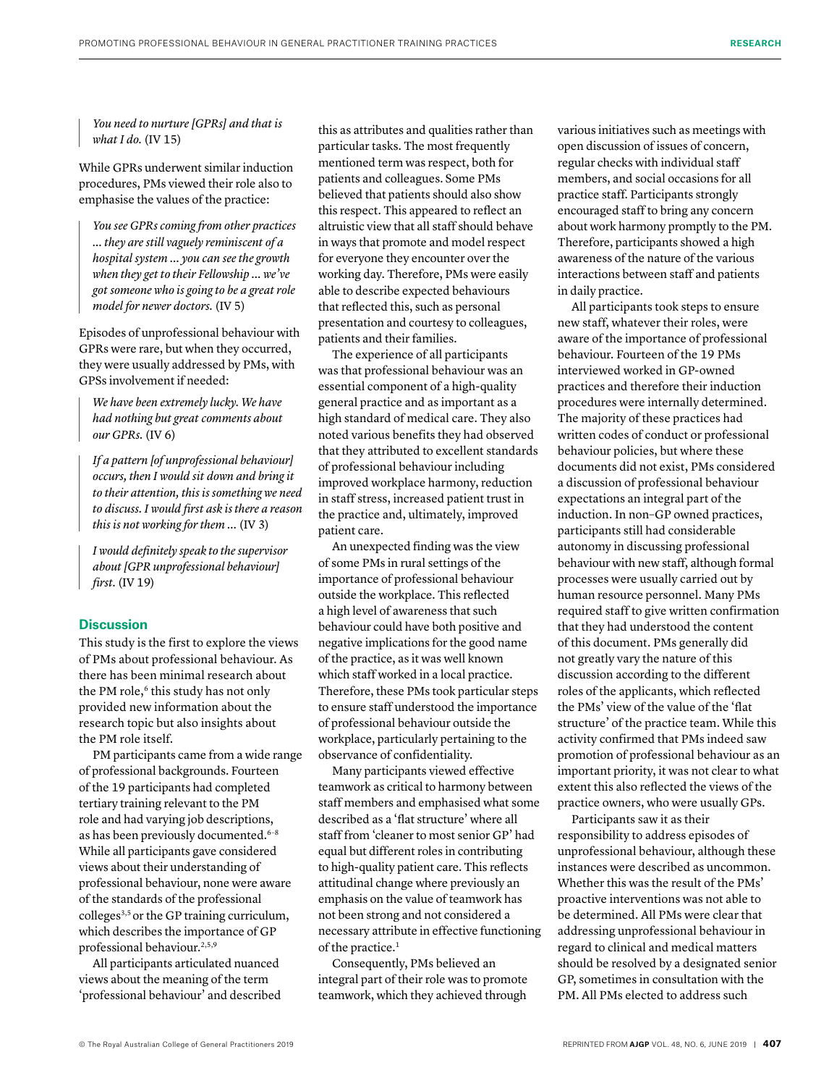*You need to nurture [GPRs] and that is what I do.* (IV 15)

While GPRs underwent similar induction procedures, PMs viewed their role also to emphasise the values of the practice:

*You see GPRs coming from other practices … they are still vaguely reminiscent of a hospital system … you can see the growth when they get to their Fellowship … we've got someone who is going to be a great role model for newer doctors.* (IV 5)

Episodes of unprofessional behaviour with GPRs were rare, but when they occurred, they were usually addressed by PMs, with GPSs involvement if needed:

*We have been extremely lucky. We have had nothing but great comments about our GPRs.* (IV 6)

*If a pattern [of unprofessional behaviour] occurs, then I would sit down and bring it to their attention, this is something we need to discuss. I would first ask is there a reason this is not working for them …* (IV 3)

*I would definitely speak to the supervisor about [GPR unprofessional behaviour] first.* (IV 19)

# **Discussion**

This study is the first to explore the views of PMs about professional behaviour. As there has been minimal research about the PM role,<sup>6</sup> this study has not only provided new information about the research topic but also insights about the PM role itself.

PM participants came from a wide range of professional backgrounds. Fourteen of the 19 participants had completed tertiary training relevant to the PM role and had varying job descriptions, as has been previously documented.<sup>6-8</sup> While all participants gave considered views about their understanding of professional behaviour, none were aware of the standards of the professional colleges3,5 or the GP training curriculum, which describes the importance of GP professional behaviour.<sup>2,5,9</sup>

All participants articulated nuanced views about the meaning of the term 'professional behaviour' and described this as attributes and qualities rather than particular tasks. The most frequently mentioned term was respect, both for patients and colleagues. Some PMs believed that patients should also show this respect. This appeared to reflect an altruistic view that all staff should behave in ways that promote and model respect for everyone they encounter over the working day. Therefore, PMs were easily able to describe expected behaviours that reflected this, such as personal presentation and courtesy to colleagues, patients and their families.

The experience of all participants was that professional behaviour was an essential component of a high-quality general practice and as important as a high standard of medical care. They also noted various benefits they had observed that they attributed to excellent standards of professional behaviour including improved workplace harmony, reduction in staff stress, increased patient trust in the practice and, ultimately, improved patient care.

An unexpected finding was the view of some PMs in rural settings of the importance of professional behaviour outside the workplace. This reflected a high level of awareness that such behaviour could have both positive and negative implications for the good name of the practice, as it was well known which staff worked in a local practice. Therefore, these PMs took particular steps to ensure staff understood the importance of professional behaviour outside the workplace, particularly pertaining to the observance of confidentiality.

Many participants viewed effective teamwork as critical to harmony between staff members and emphasised what some described as a 'flat structure' where all staff from 'cleaner to most senior GP' had equal but different roles in contributing to high-quality patient care. This reflects attitudinal change where previously an emphasis on the value of teamwork has not been strong and not considered a necessary attribute in effective functioning of the practice.<sup>1</sup>

Consequently, PMs believed an integral part of their role was to promote teamwork, which they achieved through

various initiatives such as meetings with open discussion of issues of concern, regular checks with individual staff members, and social occasions for all practice staff. Participants strongly encouraged staff to bring any concern about work harmony promptly to the PM. Therefore, participants showed a high awareness of the nature of the various interactions between staff and patients in daily practice.

All participants took steps to ensure new staff, whatever their roles, were aware of the importance of professional behaviour. Fourteen of the 19 PMs interviewed worked in GP-owned practices and therefore their induction procedures were internally determined. The majority of these practices had written codes of conduct or professional behaviour policies, but where these documents did not exist, PMs considered a discussion of professional behaviour expectations an integral part of the induction. In non–GP owned practices, participants still had considerable autonomy in discussing professional behaviour with new staff, although formal processes were usually carried out by human resource personnel. Many PMs required staff to give written confirmation that they had understood the content of this document. PMs generally did not greatly vary the nature of this discussion according to the different roles of the applicants, which reflected the PMs' view of the value of the 'flat structure' of the practice team. While this activity confirmed that PMs indeed saw promotion of professional behaviour as an important priority, it was not clear to what extent this also reflected the views of the practice owners, who were usually GPs.

Participants saw it as their responsibility to address episodes of unprofessional behaviour, although these instances were described as uncommon. Whether this was the result of the PMs' proactive interventions was not able to be determined. All PMs were clear that addressing unprofessional behaviour in regard to clinical and medical matters should be resolved by a designated senior GP, sometimes in consultation with the PM. All PMs elected to address such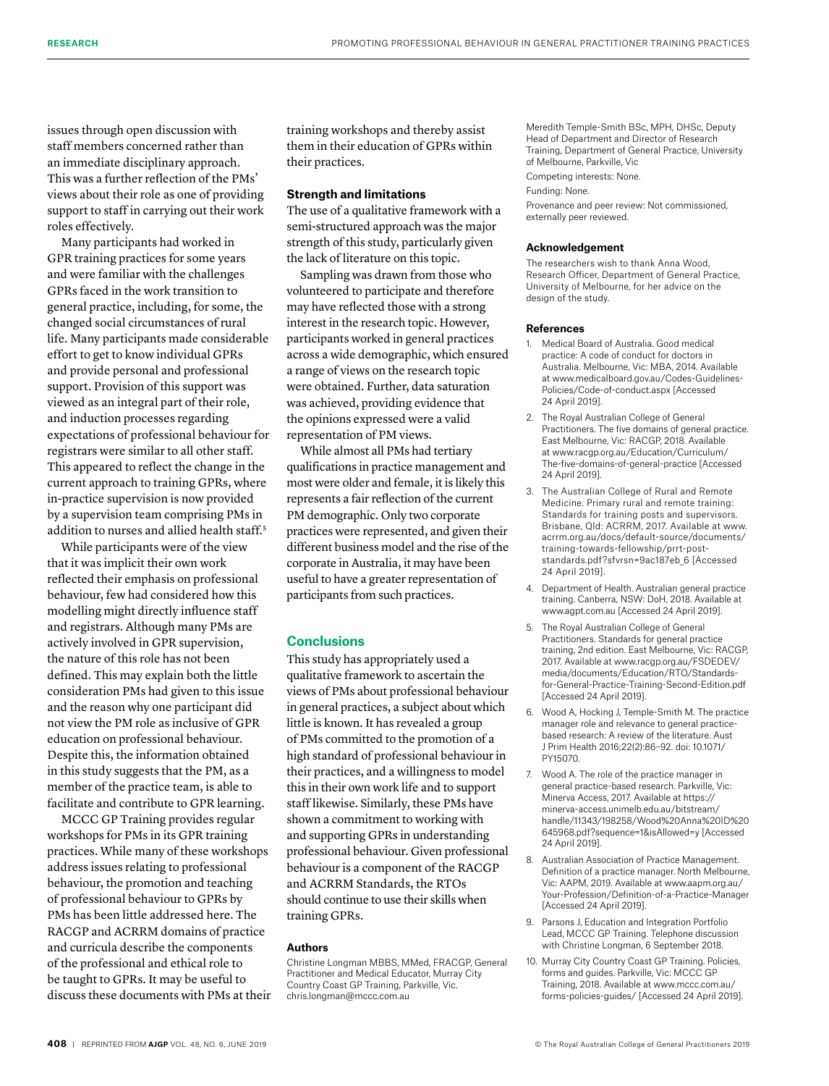issues through open discussion with staff members concerned rather than an immediate disciplinary approach. This was a further reflection of the PMs' views about their role as one of providing support to staff in carrying out their work roles effectively.

Many participants had worked in GPR training practices for some years and were familiar with the challenges GPRs faced in the work transition to general practice, including, for some, the changed social circumstances of rural life. Many participants made considerable effort to get to know individual GPRs and provide personal and professional support. Provision of this support was viewed as an integral part of their role, and induction processes regarding expectations of professional behaviour for registrars were similar to all other staff. This appeared to reflect the change in the current approach to training GPRs, where in-practice supervision is now provided by a supervision team comprising PMs in addition to nurses and allied health staff.<sup>5</sup>

While participants were of the view that it was implicit their own work reflected their emphasis on professional behaviour, few had considered how this modelling might directly influence staff and registrars. Although many PMs are actively involved in GPR supervision, the nature of this role has not been defined. This may explain both the little consideration PMs had given to this issue and the reason why one participant did not view the PM role as inclusive of GPR education on professional behaviour. Despite this, the information obtained in this study suggests that the PM, as a member of the practice team, is able to facilitate and contribute to GPR learning.

MCCC GP Training provides regular workshops for PMs in its GPR training practices. While many of these workshops address issues relating to professional behaviour, the promotion and teaching of professional behaviour to GPRs by PMs has been little addressed here. The RACGP and ACRRM domains of practice and curricula describe the components of the professional and ethical role to be taught to GPRs. It may be useful to discuss these documents with PMs at their training workshops and thereby assist them in their education of GPRs within their practices.

#### **Strength and limitations**

The use of a qualitative framework with a semi-structured approach was the major strength of this study, particularly given the lack of literature on this topic.

Sampling was drawn from those who volunteered to participate and therefore may have reflected those with a strong interest in the research topic. However, participants worked in general practices across a wide demographic, which ensured a range of views on the research topic were obtained. Further, data saturation was achieved, providing evidence that the opinions expressed were a valid representation of PM views.

While almost all PMs had tertiary qualifications in practice management and most were older and female, it is likely this represents a fair reflection of the current PM demographic. Only two corporate practices were represented, and given their different business model and the rise of the corporate in Australia, it may have been useful to have a greater representation of participants from such practices.

#### **Conclusions**

This study has appropriately used a qualitative framework to ascertain the views of PMs about professional behaviour in general practices, a subject about which little is known. It has revealed a group of PMs committed to the promotion of a high standard of professional behaviour in their practices, and a willingness to model this in their own work life and to support staff likewise. Similarly, these PMs have shown a commitment to working with and supporting GPRs in understanding professional behaviour. Given professional behaviour is a component of the RACGP and ACRRM Standards, the RTOs should continue to use their skills when training GPRs.

#### **Authors**

Christine Longman MBBS, MMed, FRACGP, General Practitioner and Medical Educator, Murray City Country Coast GP Training, Parkville, Vic. chris.longman@mccc.com.au

Meredith Temple-Smith BSc, MPH, DHSc, Deputy Head of Department and Director of Research Training, Department of General Practice, University of Melbourne, Parkville, Vic

Competing interests: None.

Funding: None.

Provenance and peer review: Not commissioned, externally peer reviewed.

#### **Acknowledgement**

The researchers wish to thank Anna Wood, Research Officer, Department of General Practice, University of Melbourne, for her advice on the design of the study.

#### **References**

- 1. Medical Board of Australia. Good medical practice: A code of conduct for doctors in Australia. Melbourne, Vic: MBA, 2014. Available at [www.medicalboard.gov.au/Codes-Guidelines-](http://www.medicalboard.gov.au/Codes-Guidelines-Policies/Code-of-conduct.aspx)[Policies/Code-of-conduct.aspx](http://www.medicalboard.gov.au/Codes-Guidelines-Policies/Code-of-conduct.aspx) [Accessed 24 April 2019].
- 2. The Royal Australian College of General Practitioners. The five domains of general practice. East Melbourne, Vic: RACGP, 2018. Available at [www.racgp.org.au/Education/Curriculum/](http://www.racgp.org.au/Education/Curriculum/The-five-domains-of-general-practice) [The-five-domains-of-general-practice](http://www.racgp.org.au/Education/Curriculum/The-five-domains-of-general-practice) [Accessed 24 April 2019].
- 3. The Australian College of Rural and Remote Medicine. Primary rural and remote training: Standards for training posts and supervisors. Brisbane, Qld: ACRRM, 2017. Available at [www.](http://www.acrrm.org.au/docs/default-source/documents/training-towards-fellowship/prrt-post-standards.pdf?sfvrsn=9ac187eb_6) [acrrm.org.au/docs/default-source/documents/](http://www.acrrm.org.au/docs/default-source/documents/training-towards-fellowship/prrt-post-standards.pdf?sfvrsn=9ac187eb_6) [training-towards-fellowship/prrt-post](http://www.acrrm.org.au/docs/default-source/documents/training-towards-fellowship/prrt-post-standards.pdf?sfvrsn=9ac187eb_6)[standards.pdf?sfvrsn=9ac187eb\\_6](http://www.acrrm.org.au/docs/default-source/documents/training-towards-fellowship/prrt-post-standards.pdf?sfvrsn=9ac187eb_6) [Accessed 24 April 2019].
- 4. Department of Health. Australian general practice training. Canberra, NSW: DoH, 2018. Available at [www.agpt.com.au](http://www.agpt.com.au) [Accessed 24 April 2019].
- 5. The Royal Australian College of General Practitioners. Standards for general practice training, 2nd edition. East Melbourne, Vic: RACGP, 2017. Available at [www.racgp.org.au/FSDEDEV/](http://www.racgp.org.au/FSDEDEV/media/documents/Education/RTO/Standards-for-General-Practice-Training-Second-Edition.pdf) [media/documents/Education/RTO/Standards](http://www.racgp.org.au/FSDEDEV/media/documents/Education/RTO/Standards-for-General-Practice-Training-Second-Edition.pdf)[for-General-Practice-Training-Second-Edition.pdf](http://www.racgp.org.au/FSDEDEV/media/documents/Education/RTO/Standards-for-General-Practice-Training-Second-Edition.pdf)  [Accessed 24 April 2019].
- 6. Wood A, Hocking J, Temple-Smith M. The practice manager role and relevance to general practicebased research: A review of the literature. Aust J Prim Health 2016;22(2):86–92. do[i: 10.1071/](http://dx.doi.org/10.1071/PY15070) [PY15070](http://dx.doi.org/10.1071/PY15070).
- 7. Wood A. The role of the practice manager in general practice-based research. Parkville, Vic: Minerva Access, 2017. Available at [https://](https://minerva-access.unimelb.edu.au/bitstream/handle/11343/198258/Wood%20Anna%20ID%20645968.pdf?sequence=1&isAllowed=y) [minerva-access.unimelb.edu.au/bitstream/](https://minerva-access.unimelb.edu.au/bitstream/handle/11343/198258/Wood%20Anna%20ID%20645968.pdf?sequence=1&isAllowed=y) [handle/11343/198258/Wood%20Anna%20ID%20](https://minerva-access.unimelb.edu.au/bitstream/handle/11343/198258/Wood%20Anna%20ID%20645968.pdf?sequence=1&isAllowed=y) [645968.pdf?sequence=1&isAllowed=y](https://minerva-access.unimelb.edu.au/bitstream/handle/11343/198258/Wood%20Anna%20ID%20645968.pdf?sequence=1&isAllowed=y) [Accessed 24 April 2019].
- 8. Australian Association of Practice Management. Definition of a practice manager. North Melbourne, Vic: AAPM, 2019. Available at [www.aapm.org.au/](http://www.aapm.org.au/Your-Profession/Definition-of-a-Practice-Manager) [Your-Profession/Definition-of-a-Practice-Manager](http://www.aapm.org.au/Your-Profession/Definition-of-a-Practice-Manager) [Accessed 24 April 2019].
- 9. Parsons J, Education and Integration Portfolio Lead, MCCC GP Training. Telephone discussion with Christine Longman, 6 September 2018.
- 10. Murray City Country Coast GP Training. Policies, forms and guides. Parkville, Vic: MCCC GP Training, 2018. Available at [www.mccc.com.au/](http://www.mccc.com.au/forms-policies-guides/) [forms-policies-guides/](http://www.mccc.com.au/forms-policies-guides/) [Accessed 24 April 2019].